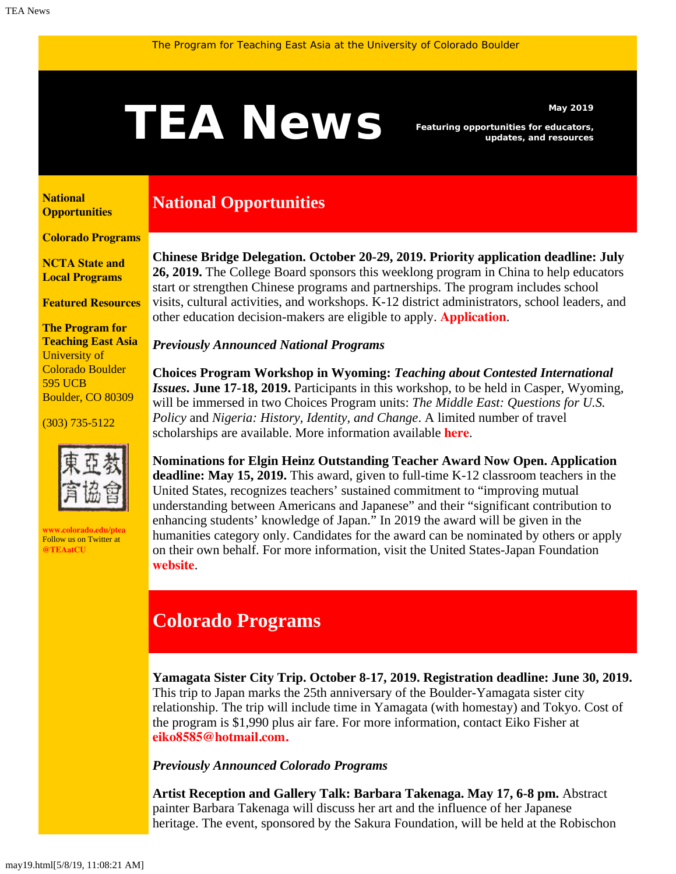# <span id="page-0-0"></span>May 2019<br>**TEAN EWS** Featuring opportunities for educators,<br>updates, and resources

*Featuring opportunities for educators, updates, and resources*

**[National](#page-0-0)  [Opportunities](#page-0-0)**

**[Colorado Programs](#page-0-0)**

**[NCTA State and](#page-1-0) [Local Programs](#page-1-0)**

**[Featured Resources](#page-1-1)**

**The Program for Teaching East Asia** University of Colorado Boulder 595 UCB Boulder, CO 80309

(303) 735-5122



**[www.colorado.edu/ptea](http://www.colorado.edu/cas/tea)** Follow us on Twitter at **[@TEAatCU](https://twitter.com/TEAatCU)**

# **National Opportunities**

**Chinese Bridge Delegation. October 20-29, 2019. Priority application deadline: July 26, 2019.** The College Board sponsors this weeklong program in China to help educators start or strengthen Chinese programs and partnerships. The program includes school visits, cultural activities, and workshops. K-12 district administrators, school leaders, and other education decision-makers are eligible to apply. **[Application](https://professionals.collegeboard.org/k-12/awards/chinese-bridge-delegation)**.

### *Previously Announced National Programs*

**Choices Program Workshop in Wyoming:** *Teaching about Contested International Issues***. June 17-18, 2019.** Participants in this workshop, to be held in Casper, Wyoming, will be immersed in two Choices Program units: *The Middle East: Questions for U.S. Policy* and *Nigeria: History, Identity, and Change*. A limited number of travel scholarships are available. More information available **[here](http://www.choices.edu/event/teaching-contested-international-issues/)**.

**Nominations for Elgin Heinz Outstanding Teacher Award Now Open. Application deadline: May 15, 2019.** This award, given to full-time K-12 classroom teachers in the United States, recognizes teachers' sustained commitment to "improving mutual understanding between Americans and Japanese" and their "significant contribution to enhancing students' knowledge of Japan." In 2019 the award will be given in the humanities category only. Candidates for the award can be nominated by others or apply on their own behalf. For more information, visit the United States-Japan Foundation **[website](https://us-jf.org/programs/elgin-heinz-teacher-awards/)**.

# **Colorado Programs**

**Yamagata Sister City Trip. October 8-17, 2019. Registration deadline: June 30, 2019.** This trip to Japan marks the 25th anniversary of the Boulder-Yamagata sister city relationship. The trip will include time in Yamagata (with homestay) and Tokyo. Cost of the program is \$1,990 plus air fare. For more information, contact Eiko Fisher at **[eiko8585@hotmail.com.](mailto:eiko8585@hotmail.com.)**

*Previously Announced Colorado Programs*

**Artist Reception and Gallery Talk: Barbara Takenaga. May 17, 6-8 pm.** Abstract painter Barbara Takenaga will discuss her art and the influence of her Japanese heritage. The event, sponsored by the Sakura Foundation, will be held at the Robischon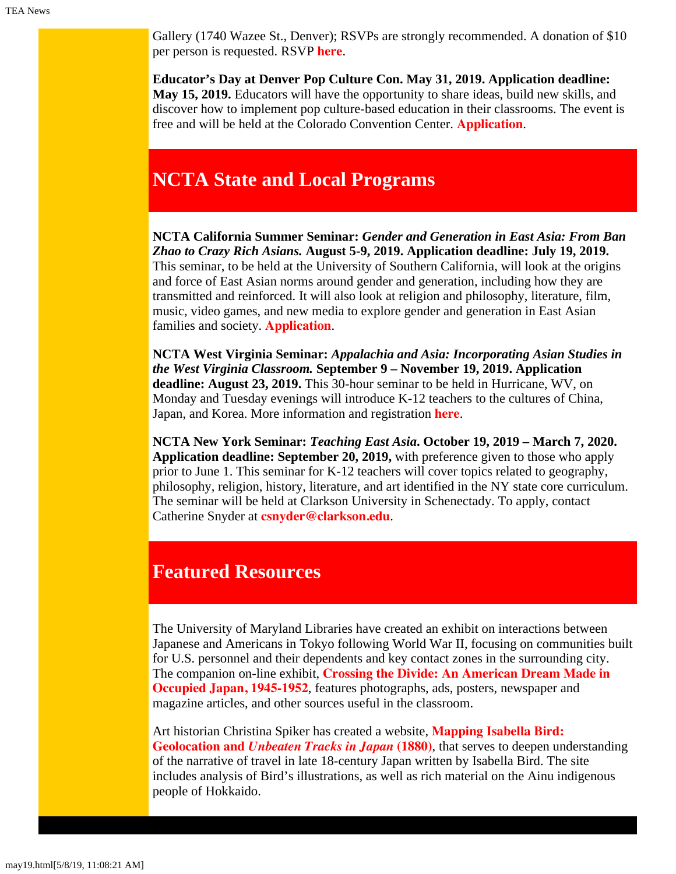Gallery (1740 Wazee St., Denver); RSVPs are strongly recommended. A donation of \$10 per person is requested. RSVP **[here](https://www.eventbrite.com/e/reception-and-gallery-talk-featuring-artist-barbara-takenaga-tickets-58820771511)**.

**Educator's Day at Denver Pop Culture Con. May 31, 2019. Application deadline: May 15, 2019.** Educators will have the opportunity to share ideas, build new skills, and discover how to implement pop culture-based education in their classrooms. The event is free and will be held at the Colorado Convention Center. **[Application](https://denverpopculturecon.com/show-info/applications/)**.

# <span id="page-1-0"></span>**NCTA State and Local Programs**

**NCTA California Summer Seminar:** *Gender and Generation in East Asia: From Ban Zhao to Crazy Rich Asians.* **August 5-9, 2019. Application deadline: July 19, 2019.** This seminar, to be held at the University of Southern California, will look at the origins and force of East Asian norms around gender and generation, including how they are transmitted and reinforced. It will also look at religion and philosophy, literature, film, music, video games, and new media to explore gender and generation in East Asian families and society. **[Application](https://china.usc.edu/seminars/gender-and-generation-east-asia-ban-zhao-crazy-rich-asians)**.

**NCTA West Virginia Seminar:** *Appalachia and Asia: Incorporating Asian Studies in the West Virginia Classroom.* **September 9 – November 19, 2019. Application deadline: August 23, 2019.** This 30-hour seminar to be held in Hurricane, WV, on Monday and Tuesday evenings will introduce K-12 teachers to the cultures of China, Japan, and Korea. More information and registration **[here](https://www.ucis.pitt.edu/ncta/sites/default/files/2019WVHurricaneFlyer_0.pdf)**.

**NCTA New York Seminar:** *Teaching East Asia***. October 19, 2019 – March 7, 2020. Application deadline: September 20, 2019,** with preference given to those who apply prior to June 1. This seminar for K-12 teachers will cover topics related to geography, philosophy, religion, history, literature, and art identified in the NY state core curriculum. The seminar will be held at Clarkson University in Schenectady. To apply, contact Catherine Snyder at **[csnyder@clarkson.edu](mailto:csnyder@clarkson.edu)**.

## <span id="page-1-1"></span>**Featured Resources**

The University of Maryland Libraries have created an exhibit on interactions between Japanese and Americans in Tokyo following World War II, focusing on communities built for U.S. personnel and their dependents and key contact zones in the surrounding city. The companion on-line exhibit, **[Crossing the Divide: An American Dream Made in](https://www.lib.umd.edu/crossing-the-divide) [Occupied Japan, 1945-1952](https://www.lib.umd.edu/crossing-the-divide)**, features photographs, ads, posters, newspaper and magazine articles, and other sources useful in the classroom.

Art historian Christina Spiker has created a website, **[Mapping Isabella Bird:](https://mapping.cmspiker.com/japan/index) [Geolocation and](https://mapping.cmspiker.com/japan/index)** *[Unbeaten Tracks in Japan](https://mapping.cmspiker.com/japan/index)* **[\(1880\)](https://mapping.cmspiker.com/japan/index)**, that serves to deepen understanding of the narrative of travel in late 18-century Japan written by Isabella Bird. The site includes analysis of Bird's illustrations, as well as rich material on the Ainu indigenous people of Hokkaido.